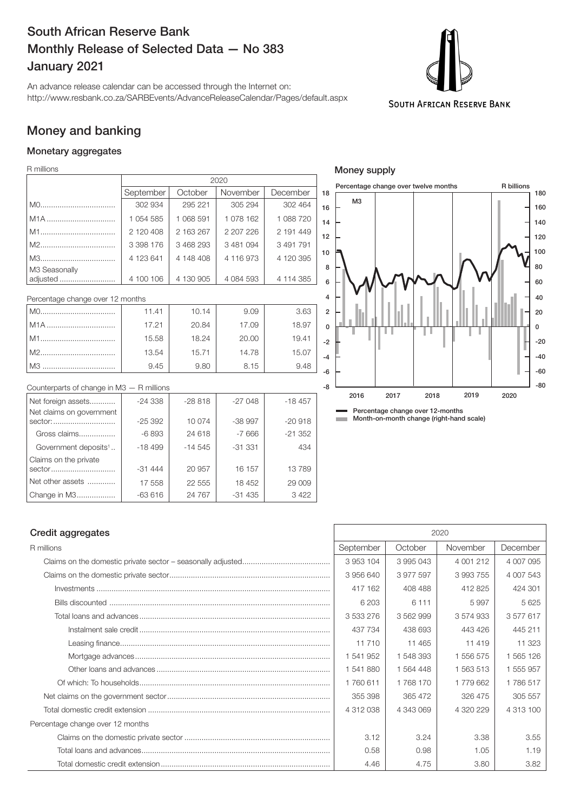# South African Reserve Bank Monthly Release of Selected Data — No 383 January 2021

An advance release calendar can be accessed through the Internet on: http://www.resbank.co.za/SARBEvents/AdvanceReleaseCalendar/Pages/default.aspx



# Money and banking

## Monetary aggregates

R millions

|                           | 2020      |           |               |           |    |
|---------------------------|-----------|-----------|---------------|-----------|----|
|                           | September | October   | November      | December  | 1  |
|                           | 302 934   | 295 221   | 305 294       | 302 464   |    |
| M <sub>1</sub> A          | 1054585   | 1 068 591 | 1078 162      | 1 088 720 |    |
|                           | 2 120 408 | 2 163 267 | 2 207 226     | 2 191 449 |    |
|                           | 3 398 176 | 3 468 293 | 3 481 094     | 3 491 791 |    |
|                           | 4 123 641 | 4 148 408 | 4 116 973     | 4 120 395 | -1 |
| M3 Seasonally<br>adjusted | 4 100 106 | 4 130 905 | 4 0 8 4 5 9 3 | 4 114 385 |    |

| Percentage change over 12 months |       |       |       |       |  |
|----------------------------------|-------|-------|-------|-------|--|
|                                  | 11.41 | 10.14 | 9.09  | 3.63  |  |
| l M1A                            | 17.21 | 20.84 | 17.09 | 18.97 |  |
| M1                               | 15.58 | 18.24 | 20.00 | 19.41 |  |
|                                  | 13.54 | 15.71 | 14.78 | 15.07 |  |
| l M3                             | 9.45  | 9.80  | 8.15  | 9.48  |  |

| Counterparts of change in $M3 - R$ millions |           |           |          |           |
|---------------------------------------------|-----------|-----------|----------|-----------|
| Net foreign assets                          | $-24.338$ | $-28818$  | $-27048$ | $-18457$  |
| Net claims on government                    |           |           |          |           |
| sector:                                     | $-25392$  | 10 074    | $-38997$ | $-20.918$ |
| Gross claims                                | $-6893$   | 24 618    | $-7666$  | $-21352$  |
| Government deposits <sup>1</sup>            | $-18499$  | $-14.545$ | $-31331$ | 434       |
| Claims on the private                       |           |           |          |           |
| sector                                      | $-31444$  | 20 957    | 16 157   | 13789     |
| Net other assets                            | 17 558    | 22 555    | 18 452   | 29 009    |
| Change in M3                                | $-63616$  | 24 7 67   | $-31435$ | 3422      |



Money supply

## **Credit aggregates** 2020

| R millions                       | September | October   | November  | December  |
|----------------------------------|-----------|-----------|-----------|-----------|
|                                  | 3953104   | 3995043   | 4 001 212 | 4 007 095 |
|                                  | 3956640   | 3 977 597 | 3993755   | 4 007 543 |
|                                  | 417 162   | 408 488   | 412 825   | 424 301   |
|                                  | 6 203     | 6 1 1 1   | 5997      | 5625      |
|                                  | 3 533 276 | 3 562 999 | 3 574 933 | 3577617   |
|                                  | 437 734   | 438 693   | 443 426   | 445 211   |
|                                  | 11710     | 11 465    | 11 4 19   | 11 323    |
|                                  | 1 541 952 | 1 548 393 | 1 556 575 | 1 565 126 |
|                                  | 1541880   | 1 564 448 | 1 563 513 | 1 555 957 |
|                                  | 1760611   | 1 768 170 | 1779662   | 1786517   |
|                                  | 355 398   | 365 472   | 326 475   | 305 557   |
|                                  | 4 312 038 | 4 343 069 | 4 320 229 | 4 313 100 |
| Percentage change over 12 months |           |           |           |           |
|                                  | 3.12      | 3.24      | 3.38      | 3.55      |
|                                  | 0.58      | 0.98      | 1.05      | 1.19      |
|                                  | 4.46      | 4.75      | 3.80      | 3.82      |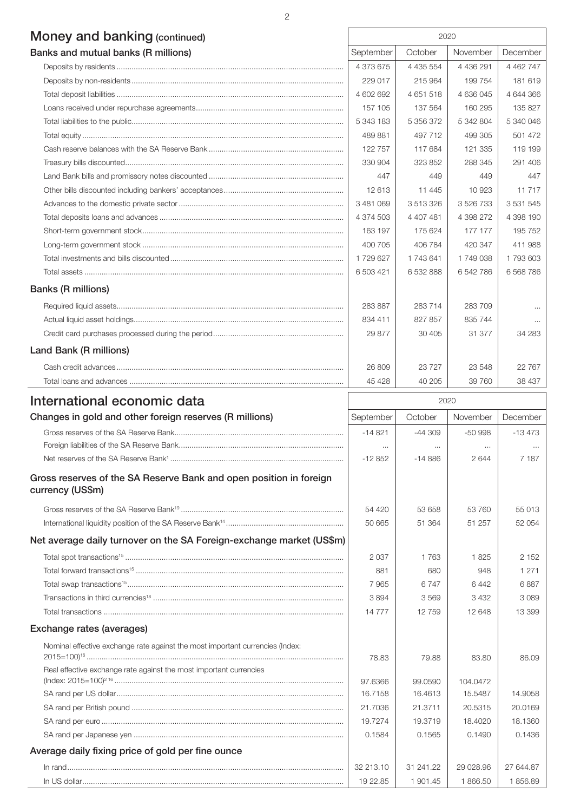| <b>Money and banking (continued)</b> | 2020      |           |               |               |
|--------------------------------------|-----------|-----------|---------------|---------------|
| Banks and mutual banks (R millions)  | September | October   | November      | December      |
|                                      | 4 373 675 | 4 435 554 | 4 4 3 6 2 9 1 | 4 4 6 2 7 4 7 |
|                                      | 229 017   | 215 964   | 199 754       | 181 619       |
|                                      | 4 602 692 | 4 651 518 | 4 636 045     | 4 644 366     |
|                                      | 157 105   | 137 564   | 160 295       | 135 827       |
|                                      | 5 343 183 | 5 356 372 | 5 342 804     | 5 340 046     |
|                                      | 489881    | 497 712   | 499 305       | 501 472       |
|                                      | 122 757   | 117 684   | 121 335       | 119 199       |
|                                      | 330 904   | 323852    | 288 345       | 291 406       |
|                                      | 447       | 449       | 449           | 447           |
|                                      | 12 613    | 11 4 4 5  | 10 923        | 11717         |
|                                      | 3 481 069 | 3 513 326 | 3 526 733     | 3 5 3 1 5 4 5 |
|                                      | 4 374 503 | 4 407 481 | 4 398 272     | 4 398 190     |
|                                      | 163 197   | 175 624   | 177 177       | 195 752       |
|                                      | 400 705   | 406 784   | 420 347       | 411 988       |
|                                      | 1729627   | 1 743 641 | 1749038       | 1 793 603     |
|                                      | 6 503 421 | 6 532 888 | 6542786       | 6 5 68 7 86   |

## Banks (R millions)

| Banks (R millions)     |         |         |         |          |
|------------------------|---------|---------|---------|----------|
|                        | 283 887 | 283 714 | 283 709 | $\cdots$ |
|                        | 834 411 | 827 857 | 835 744 | $\cdots$ |
|                        | 29 877  | 30405   | 31 377  | 34 283   |
| Land Bank (R millions) |         |         |         |          |
|                        | 26 809  | 23727   | 23 548  | 22767    |

Total loans and advances .................................................................................................... 45 428 40 205 39 760 38 437

# International economic data 2020

| Changes in gold and other foreign reserves (R millions)                                                                                             | September | October   | November  | December  |
|-----------------------------------------------------------------------------------------------------------------------------------------------------|-----------|-----------|-----------|-----------|
|                                                                                                                                                     | $-14821$  | $-44.309$ | $-50.998$ | $-13473$  |
|                                                                                                                                                     | $\cdots$  | $\cdots$  | $\cdots$  | $\cdots$  |
|                                                                                                                                                     | $-12852$  | $-14886$  | 2644      | 7 1 8 7   |
| Gross reserves of the SA Reserve Bank and open position in foreign<br>currency (US\$m)                                                              |           |           |           |           |
|                                                                                                                                                     | 54 420    | 53 658    | 53 760    | 55 013    |
|                                                                                                                                                     | 50 665    | 51 364    | 51 257    | 52 054    |
| Net average daily turnover on the SA Foreign-exchange market (US\$m)                                                                                |           |           |           |           |
|                                                                                                                                                     | 2 0 3 7   | 1 7 6 3   | 1825      | 2 1 5 2   |
|                                                                                                                                                     | 881       | 680       | 948       | 1 2 7 1   |
|                                                                                                                                                     | 7965      | 6747      | 6442      | 6887      |
|                                                                                                                                                     | 3894      | 3569      | 3 4 3 2   | 3089      |
|                                                                                                                                                     | 14 777    | 12759     | 12 648    | 13 399    |
| Exchange rates (averages)                                                                                                                           |           |           |           |           |
| Nominal effective exchange rate against the most important currencies (Index:<br>Real effective exchange rate against the most important currencies | 78.83     | 79.88     | 83.80     | 86.09     |
|                                                                                                                                                     | 97.6366   | 99.0590   | 104.0472  |           |
|                                                                                                                                                     | 16.7158   | 16.4613   | 15.5487   | 14.9058   |
|                                                                                                                                                     | 21.7036   | 21.3711   | 20.5315   | 20.0169   |
|                                                                                                                                                     | 19.7274   | 19.3719   | 18,4020   | 18.1360   |
|                                                                                                                                                     | 0.1584    | 0.1565    | 0.1490    | 0.1436    |
| Average daily fixing price of gold per fine ounce                                                                                                   |           |           |           |           |
|                                                                                                                                                     | 32 213.10 | 31 241.22 | 29 028.96 | 27 644.87 |
| $\ln US$ dollar                                                                                                                                     | 19 22.85  | 1 901.45  | 1866.50   | 1856.89   |

2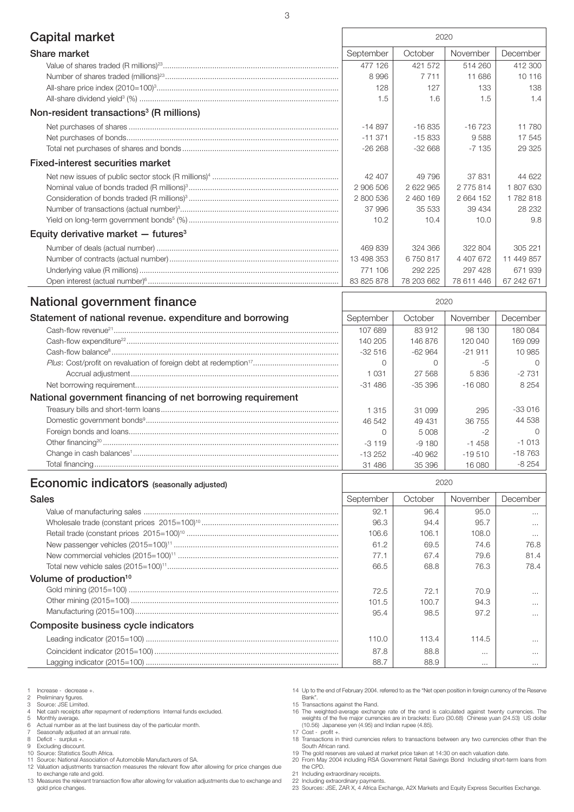| Capital market                                      | 2020       |            |            |            |
|-----------------------------------------------------|------------|------------|------------|------------|
| <b>Share market</b>                                 | September  | October    | November   | December   |
|                                                     | 477 126    | 421 572    | 514 260    | 412 300    |
|                                                     | 8996       | 7 7 1 1    | 11 686     | 10 116     |
|                                                     | 128        | 127        | 133        | 138        |
|                                                     | 1.5        | 1.6        | 1.5        | 1.4        |
| Non-resident transactions <sup>3</sup> (R millions) |            |            |            |            |
|                                                     | $-14897$   | $-16835$   | $-16723$   | 11 780     |
|                                                     | $-11.371$  | $-15833$   | 9588       | 17 545     |
|                                                     | $-26268$   | $-32668$   | $-7135$    | 29 325     |
| <b>Fixed-interest securities market</b>             |            |            |            |            |
|                                                     | 42 407     | 49 796     | 37831      | 44 622     |
|                                                     | 2 906 506  | 2 622 965  | 2775814    | 1807630    |
|                                                     | 2 800 536  | 2 460 169  | 2 664 152  | 1782818    |
|                                                     | 37996      | 35 533     | 39 434     | 28 232     |
|                                                     | 10.2       | 10.4       | 10.0       | 9.8        |
| Equity derivative market $-$ futures <sup>3</sup>   |            |            |            |            |
|                                                     | 469839     | 324 366    | 322 804    | 305 221    |
|                                                     | 13 498 353 | 6750817    | 4 407 672  | 11 449 857 |
|                                                     | 771 106    | 292 225    | 297 428    | 671939     |
|                                                     | 83 825 878 | 78 203 662 | 78 611 446 | 67 242 671 |
| National serrasses ant finance                      |            | 0000       |            |            |

| <b>National government imance</b>                          | 2020      |           |           |          |
|------------------------------------------------------------|-----------|-----------|-----------|----------|
| Statement of national revenue. expenditure and borrowing   | September | October   | November  | December |
|                                                            | 107 689   | 83 912    | 98 130    | 180 084  |
|                                                            | 140 205   | 146876    | 120 040   | 169 099  |
|                                                            | $-32516$  | -62 964   | $-21.911$ | 10 985   |
|                                                            |           |           |           |          |
|                                                            | 1 0 3 1   | 27 568    | 5836      | $-2731$  |
|                                                            | $-31486$  | $-35.396$ | $-16080$  | 8 2 5 4  |
| National government financing of net borrowing requirement |           |           |           |          |
|                                                            | 1 3 1 5   | 31 099    | 295       | $-33016$ |
|                                                            | 46 542    | 49 4 31   | 36 755    | 44 538   |
|                                                            |           | 5 008     |           |          |
|                                                            | $-3119$   | $-9180$   | $-1458$   | $-1.013$ |
|                                                            | $-13252$  | $-40.962$ | $-19.510$ | $-18763$ |
|                                                            | 31 486    | 35 396    | 16.080    | $-8254$  |

| <b>Economic indicators</b> (seasonally adjusted) | 2020 |
|--------------------------------------------------|------|
|--------------------------------------------------|------|

| Sales                               | September | October | November | December |
|-------------------------------------|-----------|---------|----------|----------|
|                                     | 92.1      | 96.4    | 95.0     | $\cdots$ |
|                                     | 96.3      | 94.4    | 95.7     | $\cdots$ |
|                                     | 106.6     | 106.1   | 108.0    | $\cdots$ |
|                                     | 61.2      | 69.5    | 74.6     | 76.8     |
|                                     | 77.1      | 67.4    | 79.6     | 81.4     |
|                                     | 66.5      | 68.8    | 76.3     | 78.4     |
| Volume of production <sup>10</sup>  |           |         |          |          |
|                                     | 72.5      | 72.1    | 70.9     | $\cdots$ |
|                                     | 101.5     | 100.7   | 94.3     | $\cdots$ |
|                                     | 95.4      | 98.5    | 97.2     | $\cdots$ |
| Composite business cycle indicators |           |         |          |          |
|                                     | 110.0     | 113.4   | 114.5    | $\cdots$ |
|                                     | 87.8      | 88.8    | $\cdots$ | $\cdots$ |
|                                     | 88.7      | 88.9    | $\cdots$ |          |

- 1 Increase decrease +.<br>
2 Preliminary figures.<br>
3 Source: JSE Limited.
- 2 Preliminary figures. 3 Source: JSE Limited.
- 
- 4 Net cash receipts after repayment of redemptions Internal funds excluded. 5 Monthly average. 6 Actual number as at the last business day of the particular month.
- 
- 
- 7 Seasonally adjusted at an annual rate. 8 Deficit surplus +.
- 
- 9 Excluding discount. 10 Source: Statistics South Africa.
- 11 Source: National Association of Automobile Manufacturers of SA.

12 Valuation adjustments transaction measures the relevant flow after allowing for price changes due to exchange rate and gold.

- 13 Measures the relevant transaction flow after allowing for valuation adjustments due to exchange and gold price changes.
- 14 Up to the end of February 2004. referred to as the "Net open position in foreign currency of the Reserve Bank". 15 Transactions against the Rand.

16 The weighted-average exchange rate of the rand is calculated against twenty currencies. The weights of the five major currencies are in brackets: Euro (30.68) Chinese yuan (24.53) US dollar (10.56) Japanese yen (4.95) and Indian rupee (4.85).

- 
- 17 Cost profit +. 18 Transactions in third currencies refers to transactions between any two currencies other than the
- South African rand. 19 The gold reserves are valued at market price taken at 14:30 on each valuation date.
- 20 From May 2004 including RSA Government Retail Savings Bond Including short-term loans from the CPD.
- 21 Including extraordinary receipts.
- 
- 22 Including extraordinary payments. 23 Sources: JSE, ZAR X, 4 Africa Exchange, A2X Markets and Equity Express Securities Exchange.